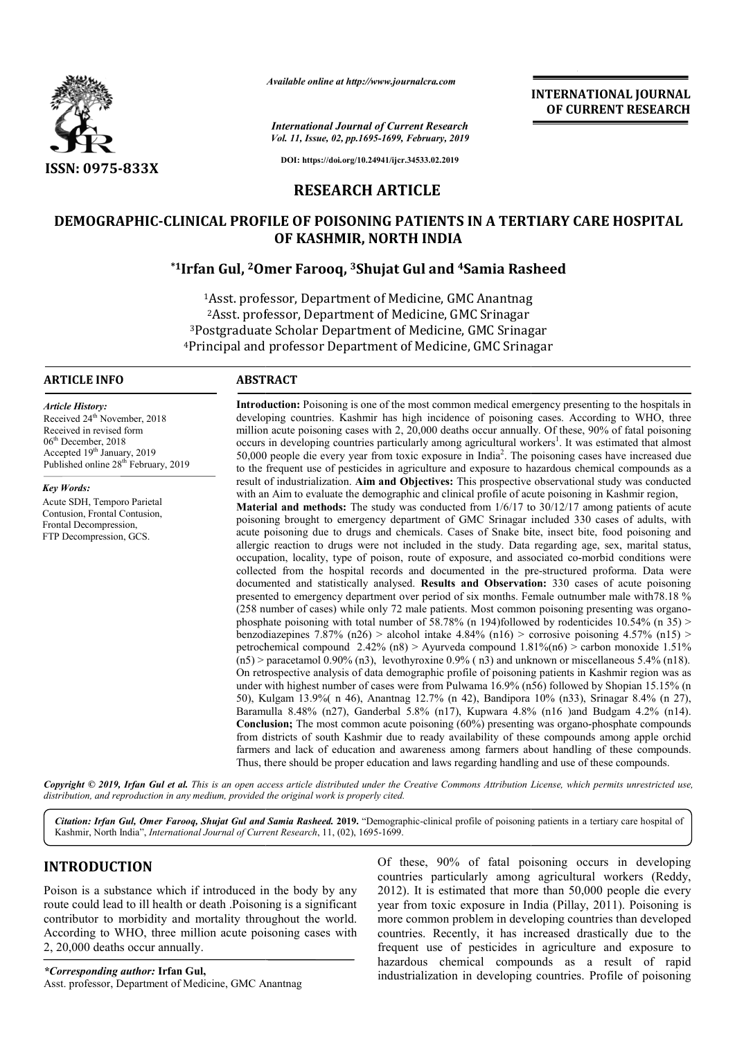

*Available online at http://www.journalcra.com*

*International Journal of Current Research Vol. 11, Issue, 02, pp.1695-1699, February, 2019* **INTERNATIONAL JOURNAL OF CURRENT RESEARCH**

**DOI: https://doi.org/10.24941/ijcr.34533.02.2019**

# **RESEARCH ARTICLE**

# **DEMOGRAPHIC-CLINICAL PROFILE OF POISONING PATIENTS IN A TERTIARY CARE HOSPITAL CLINICAL OF KASHMIR, NORTH INDIA**

# **\*1Irfan Gul, 2Omer Farooq, Omer 3Shujat Gul and 4Samia Rasheed Samia**

1Asst. professor, Department of Medicine, GMC Anantnag 2Asst. professor, Department of Medicine, GMC Srinagar 3Postgraduate Scholar Department of Medicine, GMC Srinagar 4Principal and professor Department of Medicine, GMC <sup>1</sup>Asst. professor, Department of Medicine, GMC Anantnag<br><sup>2</sup>Asst. professor, Department of Medicine, GMC Srinagar<br><sup>3</sup>Postgraduate Scholar Department of Medicine, GMC Srinagar<br>Principal and professor Department of Medicine, Scholar Department

#### **ARTICLE INFO ABSTRACT**

*Article History:* Received 24<sup>th</sup> November, 2018 Received in revised form 06th December, 2018 Accepted 19<sup>th</sup> January, 2019 Published online 28<sup>th</sup> February, 2019

*Key Words:*

Acute SDH, Temporo Parietal Contusion, Frontal Contusion, Frontal Decompression, FTP Decompression, GCS.

**Introduction Introduction:** Poisoning is one of the most common medical emergency presenting to the hospitals in developing countries. Kashmir has high incidence of poisoning cases. According to WHO, three million acute poisoning cases with 2, 20,000 deaths occur annually. Of these, 90% of fatal poisoning occurs in developing countries particularly among agricultural workers . It was estimated that almost 50,000 people die every year from toxic exposure in India<sup>2</sup>. The poisoning cases have increased due to the frequent use of pesticides in agriculture and exposure to hazardous chemical compounds as a to the frequent use of pesticides in agriculture and exposure to hazardous chemical compounds as a result of industrialization. Aim and Objectives: This prospective observational study was conducted with an Aim to evaluate the demographic and clinical profile of acute poisoning in Kashmir region, **Material and methods:** The study was conducted from  $1/6/17$  to  $30/12/17$  among patients of acute poisoning brought to emergency department of GMC Srinagar included 330 cases of adults, with acute poisoning due to drugs and chemicals. Cases of Snake bite, insect bite, food poisoning and allergic reaction to drugs were not included in the study. Data regarding age, sex, marital status, occupation, locality, type of poison, route of exposure, and associated co-morbid conditions were collected from the hospital records and documented in the pre-structured proforma. Data were documented and statistically analysed. Results and Observation: 330 cases of acute poisoning presented to emergency department over period of six months. Female outnumber male with78.18 % presented to emergency department over period of six months. Female outnumber male with 78.18 % (258 number of cases) while only 72 male patients. Most common poisoning presenting was organophosphate poisoning with total number of 58.78% (n 194)followed by rodenticides  $10.54\%$  (n 35) > benzodiazepines 7.87% (n26) > alcohol intake 4.84% (n16) > corrosive poisoning 4.57% (n15) > petrochemical compound  $2.42\%$  (n8) > Ayurveda compound  $1.81\%$  (n6) > carbon monoxide  $1.51\%$  $(n5)$  > paracetamol 0.90%  $(n3)$ , levothyroxine 0.9% (n3) and unknown or miscellaneous 5.4% (n18). On retrospective analysis of data demographic profile of poisoning patients in Kashmir region was as under with highest number of cases were from Pulwama 16.9% (n56) followed by Shopian 15.15% (n 50), Kulgam 13.9%( n 46), Anantnag 12.7% (n 42), Bandipora 10% (n33), Srinagar 8.4% (n 27), Baramulla 8.48% (n27), Ganderbal 5.8% (n17), Kupwara 4.8% (n16 )and Budgam 4.2% (n14). **Conclusion;** The most common acute poisoning (60%) presenting was organo from districts of south Kashmir due to ready availability of these compounds among apple orchid farmers and lack of education and awareness among farmers about handling of these compounds. from districts of south Kashmir due to ready availability of these compounds among apple of armers and lack of education and awareness among farmers about handling of these compounds.<br>Thus, there should be proper education **Introduction:** Poisoning is one of the most common medical emergency presenting to the hospitals in developing countries. Kashmir has high incidence of poisoning cases. According to WHO, three million acute poisoning case with an Aim to evaluate the demographic and clinical profile of acute poisoning in Kashmir region,<br>**Material and methods:** The study was conducted from  $1/6/17$  to  $30/12/17$  among patients of acute<br>poisoning brought to em phosphate poisoning with total number of 58.78% (n 194)followed by rodenticides 10.54% (n 35) > benzodiazepines 7.87% (n26) > alcohol intake 4.84% (n16) > corrosive poisoning 4.57% (n15) > petrochemical compound 2.42% (n8 50), Kulgam 13.9% (n 46), Anantnag 12.7% (n 42), Bandipora 10% (n33), Srinagar 8.4% (n 27), Baramulla 8.48% (n27), Ganderbal 5.8% (n17), Kupwara 4.8% (n16) and Budgam 4.2% (n14). Conclusion; The most common acute poisonin INTERNATIONAL JOURNAL<br>
16 (*Corrent Research* **for CURRENT RESEARCH**<br> *COCURRENT RESEARCH*<br> *COCURRENT RESEARCH*<br> **ARTICLE**<br> **CC PATIENTS IN A TERTIARY CARE HOSPITAL**<br> **ORTH INDIA**<br> **ARTICLE**<br> **CC PATIENTS IN A TERTIARY C** 

Copyright © 2019, Irfan Gul et al. This is an open access article distributed under the Creative Commons Attribution License, which permits unrestricted use, *distribution, and reproduction in any medium, provided the original work is properly cited.*

Citation: Irfan Gul, Omer Farooq, Shujat Gul and Samia Rasheed. 2019. "Demographic-clinical profile of poisoning patients in a tertiary care hospital of Kashmir, North India", *International Journal of Current Research*, 11, (02), 1695-1699.  $-1699$ .

# **INTRODUCTION**

Poison is a substance which if introduced in the body by any route could lead to ill health or death .Poisoning is a significant contributor to morbidity and mortality throughout the world. According to WHO, three million acute poisoning cases with 2, 20,000 deaths occur annually.

*\*Corresponding author:* **Irfan Gul,**  Asst. professor, Department of Medicine, GMC Anantnag Of these, 90% of fatal poisoning occurs in developing -1699.<br>
Of these, 90% of fatal poisoning occurs in developing<br>
countries particularly among agricultural workers (Reddy, 2012). It is estimated that more than 50,000 people die every 2012). It is estimated that more than 50,000 people die every year from toxic exposure in India (Pillay, 2011). Poisoning is more common problem in developing countries than developed countries. Recently, it has increased drastically due to the frequent use of pesticides in agriculture and exposure to hazardous chemical compounds as a result of rapid industrialization in developing countries. Profile of poisoning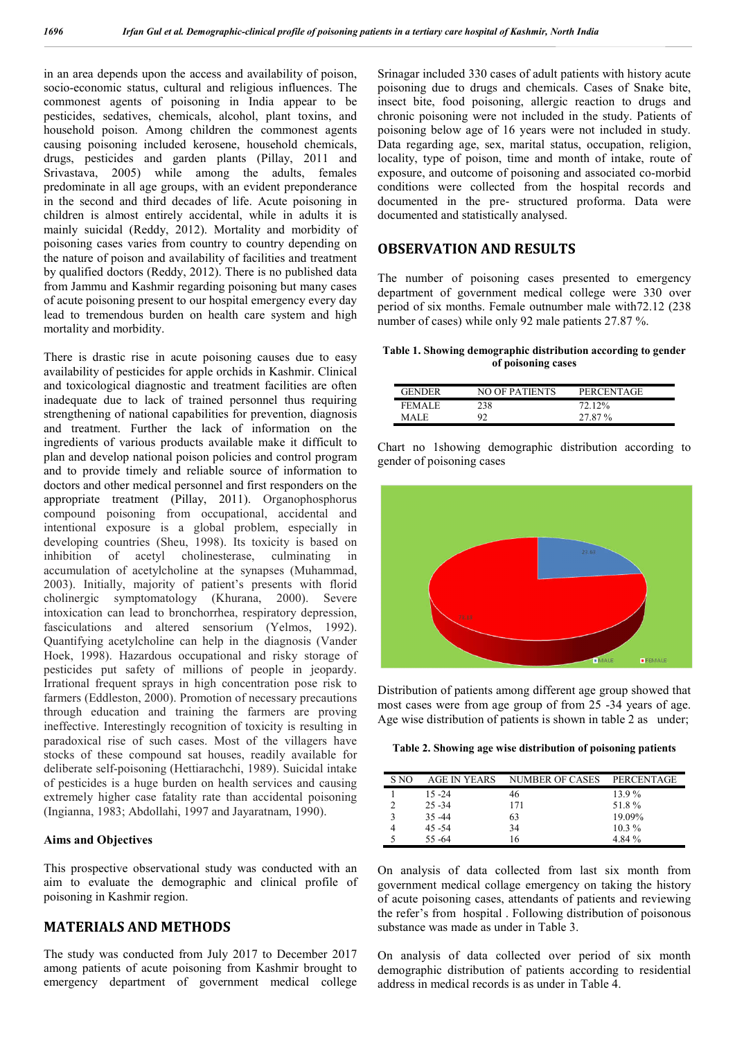in an area depends upon the access and availability of poison, socio-economic status, cultural and religious influences. The commonest agents of poisoning in India appear to be pesticides, sedatives, chemicals, alcohol, plant toxins, and household poison. Among children the commonest agents causing poisoning included kerosene, household chemicals, drugs, pesticides and garden plants (Pillay, 2011 and Srivastava, 2005) while among the adults, females predominate in all age groups, with an evident preponderance in the second and third decades of life. Acute poisoning in children is almost entirely accidental, while in adults it is mainly suicidal (Reddy, 2012). Mortality and morbidity of poisoning cases varies from country to country depending on the nature of poison and availability of facilities and treatment by qualified doctors (Reddy, 2012). There is no published data from Jammu and Kashmir regarding poisoning but many cases of acute poisoning present to our hospital emergency every day lead to tremendous burden on health care system and high mortality and morbidity.

There is drastic rise in acute poisoning causes due to easy availability of pesticides for apple orchids in Kashmir. Clinical and toxicological diagnostic and treatment facilities are often inadequate due to lack of trained personnel thus requiring strengthening of national capabilities for prevention, diagnosis and treatment. Further the lack of information on the ingredients of various products available make it difficult to plan and develop national poison policies and control program and to provide timely and reliable source of information to doctors and other medical personnel and first responders on the appropriate treatment (Pillay, 2011). Organophosphorus compound poisoning from occupational, accidental and intentional exposure is a global problem, especially in developing countries (Sheu, 1998). Its toxicity is based on inhibition of acetyl cholinesterase, culminating in accumulation of acetylcholine at the synapses (Muhammad, 2003). Initially, majority of patient's presents with florid cholinergic symptomatology (Khurana, 2000). Severe intoxication can lead to bronchorrhea, respiratory depression, fasciculations and altered sensorium (Yelmos, 1992). Quantifying acetylcholine can help in the diagnosis (Vander Hoek, 1998). Hazardous occupational and risky storage of pesticides put safety of millions of people in jeopardy. Irrational frequent sprays in high concentration pose risk to farmers (Eddleston, 2000). Promotion of necessary precautions through education and training the farmers are proving ineffective. Interestingly recognition of toxicity is resulting in paradoxical rise of such cases. Most of the villagers have stocks of these compound sat houses, readily available for deliberate self-poisoning (Hettiarachchi, 1989). Suicidal intake of pesticides is a huge burden on health services and causing extremely higher case fatality rate than accidental poisoning (Ingianna, 1983; Abdollahi, 1997 and Jayaratnam, 1990).

#### **Aims and Objectives**

This prospective observational study was conducted with an aim to evaluate the demographic and clinical profile of poisoning in Kashmir region.

# **MATERIALS AND METHODS**

The study was conducted from July 2017 to December 2017 among patients of acute poisoning from Kashmir brought to emergency department of government medical college Srinagar included 330 cases of adult patients with history acute poisoning due to drugs and chemicals. Cases of Snake bite, insect bite, food poisoning, allergic reaction to drugs and chronic poisoning were not included in the study. Patients of poisoning below age of 16 years were not included in study. Data regarding age, sex, marital status, occupation, religion, locality, type of poison, time and month of intake, route of exposure, and outcome of poisoning and associated co-morbid conditions were collected from the hospital records and documented in the pre- structured proforma. Data were documented and statistically analysed.

## **OBSERVATION AND RESULTS**

The number of poisoning cases presented to emergency department of government medical college were 330 over period of six months. Female outnumber male with72.12 (238 number of cases) while only 92 male patients 27.87 %.

**Table 1. Showing demographic distribution according to gender of poisoning cases**

| <b>GENDER</b> | NO OF PATIENTS | PERCENTAGE |
|---------------|----------------|------------|
| <b>FEMALE</b> | 238            | 72.12%     |
| MALE.         | 92             | 27.87%     |

Chart no 1showing demographic distribution according to gender of poisoning cases



Distribution of patients among different age group showed that most cases were from age group of from 25 -34 years of age. Age wise distribution of patients is shown in table 2 as under;

**Table 2. Showing age wise distribution of poisoning patients**

| S NO | AGE IN YEARS | <b>NUMBER OF CASES</b> | PERCENTAGE |
|------|--------------|------------------------|------------|
|      | $15 - 24$    | 46                     | 13.9%      |
|      | $25 - 34$    | 171                    | 51.8%      |
| ٩    | $35 - 44$    | 63                     | 19.09%     |
|      | $45 - 54$    | 34                     | $10.3\%$   |
|      | $55 - 64$    | 16                     | 4.84 %     |

On analysis of data collected from last six month from government medical collage emergency on taking the history of acute poisoning cases, attendants of patients and reviewing the refer's from hospital . Following distribution of poisonous substance was made as under in Table 3.

On analysis of data collected over period of six month demographic distribution of patients according to residential address in medical records is as under in Table 4.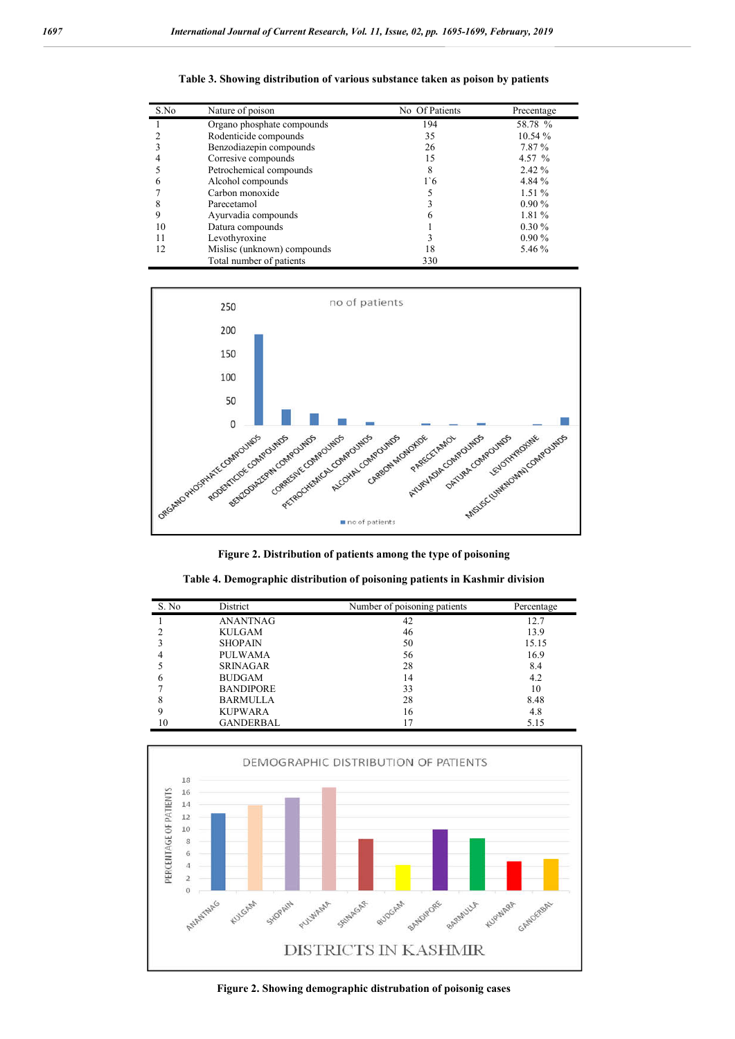| S.No | Nature of poison            | No Of Patients | Precentage |
|------|-----------------------------|----------------|------------|
|      | Organo phosphate compounds  | 194            | 58.78 %    |
|      | Rodenticide compounds       | 35             | 10.54%     |
|      | Benzodiazepin compounds     | 26             | 7.87%      |
|      | Corresive compounds         | 15             | 4.57 %     |
|      | Petrochemical compounds     | 8              | 2.42 %     |
|      | Alcohol compounds           | 1.6            | 4.84 %     |
|      | Carbon monoxide             |                | 1.51%      |
|      | Parecetamol                 |                | 0.90%      |
|      | Ayurvadia compounds         |                | 1.81 %     |
| 10   | Datura compounds            |                | $0.30\%$   |
| 11   | Levothyroxine               |                | $0.90\%$   |
| 12   | Mislisc (unknown) compounds | 18             | 5.46 %     |
|      | Total number of patients    | 330            |            |

**Table 3. Showing distribution of various substance taken as poison by patients**



**Figure 2. Distribution of patients among the type of poisoning**

| S. No. | District         | Number of poisoning patients | Percentage |
|--------|------------------|------------------------------|------------|
|        | <b>ANANTNAG</b>  | 42                           | 12.7       |
|        | KULGAM           | 46                           | 13.9       |
|        | <b>SHOPAIN</b>   | 50                           | 15.15      |
|        | PULWAMA          | 56                           | 16.9       |
|        | <b>SRINAGAR</b>  | 28                           | 8.4        |
|        | <b>BUDGAM</b>    | 14                           | 4.2        |
|        | <b>BANDIPORE</b> | 33                           | 10         |
|        | <b>BARMULLA</b>  | 28                           | 8.48       |
|        | <b>KUPWARA</b>   | 16                           | 4.8        |
| 10     | <b>GANDERBAL</b> |                              | 5.15       |

|  | Table 4. Demographic distribution of poisoning patients in Kashmir division |  |  |
|--|-----------------------------------------------------------------------------|--|--|
|  |                                                                             |  |  |



**Figure 2. Showing demographic distrubation of poisonig cases**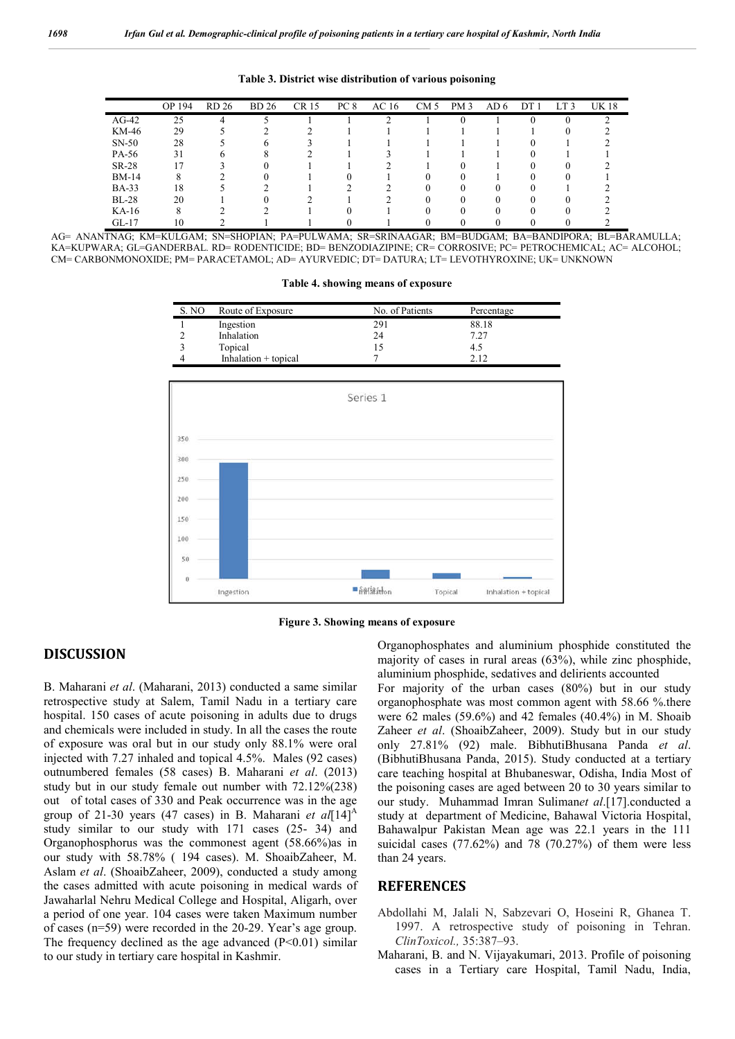| OP 194<br>PC <sub>8</sub><br>AC <sub>16</sub><br><b>BD</b> 26<br>CR 15<br>CM <sub>5</sub><br>DT <sub>1</sub><br>LT <sub>3</sub><br>RD 26<br>PM3<br>AD 6<br>25<br>$AG-42$<br>4<br>KM-46<br>29 | <b>UK18</b> |
|----------------------------------------------------------------------------------------------------------------------------------------------------------------------------------------------|-------------|
|                                                                                                                                                                                              |             |
|                                                                                                                                                                                              |             |
|                                                                                                                                                                                              |             |
| $SN-50$<br>28<br>6                                                                                                                                                                           |             |
| PA-56<br>31                                                                                                                                                                                  |             |
| SR-28<br>$\overline{\phantom{a}}$<br>0                                                                                                                                                       |             |
| <b>BM-14</b><br>8                                                                                                                                                                            |             |
| <b>BA-33</b><br>18<br>$\Omega$<br>$\theta$                                                                                                                                                   |             |
| 20<br>$BL-28$<br>$\Omega$<br>$^{\circ}$                                                                                                                                                      |             |
| $KA-16$<br>8                                                                                                                                                                                 |             |
| $GL-17$<br>10                                                                                                                                                                                |             |

**Table 3. District wise distribution of various poisoning**

AG= ANANTNAG; KM=KULGAM; SN=SHOPIAN; PA=PULWAMA; SR=SRINAAGAR; BM=BUDGAM; BA=BANDIPORA; BL=BARAMULLA; KA=KUPWARA; GL=GANDERBAL. RD= RODENTICIDE; BD= BENZODIAZIPINE; CR= CORROSIVE; PC= PETROCHEMICAL; AC= ALCOHOL; CM= CARBONMONOXIDE; PM= PARACETAMOL; AD= AYURVEDIC; DT= DATURA; LT= LEVOTHYROXINE; UK= UNKNOWN

|  |  | Table 4. showing means of exposure |
|--|--|------------------------------------|
|  |  |                                    |
|  |  |                                    |

| S. NO | Route of Exposure      | No. of Patients | Percentage |  |
|-------|------------------------|-----------------|------------|--|
|       | Ingestion              | 291             | 88.18      |  |
|       | Inhalation             | 24              | 7.27       |  |
|       | Topical                | 15              | 4.5        |  |
|       | Inhalation $+$ topical |                 | 2.12       |  |



**Figure 3. Showing means of exposure**

# **DISCUSSION**

B. Maharani *et al*. (Maharani, 2013) conducted a same similar retrospective study at Salem, Tamil Nadu in a tertiary care hospital. 150 cases of acute poisoning in adults due to drugs and chemicals were included in study. In all the cases the route of exposure was oral but in our study only 88.1% were oral injected with 7.27 inhaled and topical 4.5%. Males (92 cases) outnumbered females (58 cases) B. Maharani *et al*. (2013) study but in our study female out number with 72.12%(238) out of total cases of 330 and Peak occurrence was in the age group of 21-30 years (47 cases) in B. Maharani *et al*[14]<sup>A</sup> study similar to our study with 171 cases (25- 34) and Organophosphorus was the commonest agent (58.66%)as in our study with 58.78% ( 194 cases). M. ShoaibZaheer, M. Aslam *et al*. (ShoaibZaheer, 2009), conducted a study among the cases admitted with acute poisoning in medical wards of Jawaharlal Nehru Medical College and Hospital, Aligarh, over a period of one year. 104 cases were taken Maximum number of cases (n=59) were recorded in the 20-29. Year's age group. The frequency declined as the age advanced  $(P<0.01)$  similar to our study in tertiary care hospital in Kashmir.

Organophosphates and aluminium phosphide constituted the majority of cases in rural areas (63%), while zinc phosphide, aluminium phosphide, sedatives and delirients accounted

For majority of the urban cases (80%) but in our study organophosphate was most common agent with 58.66 %.there were 62 males (59.6%) and 42 females (40.4%) in M. Shoaib Zaheer *et al*. (ShoaibZaheer, 2009). Study but in our study only 27.81% (92) male. BibhutiBhusana Panda *et al*. (BibhutiBhusana Panda, 2015). Study conducted at a tertiary care teaching hospital at Bhubaneswar, Odisha, India Most of the poisoning cases are aged between 20 to 30 years similar to our study. Muhammad Imran Suliman*et al*.[17].conducted a study at department of Medicine, Bahawal Victoria Hospital, Bahawalpur Pakistan Mean age was 22.1 years in the 111 suicidal cases (77.62%) and 78 (70.27%) of them were less than 24 years.

### **REFERENCES**

- Abdollahi M, Jalali N, Sabzevari O, Hoseini R, Ghanea T. 1997. A retrospective study of poisoning in Tehran. *ClinToxicol.,* 35:387–93.
- Maharani, B. and N. Vijayakumari, 2013. Profile of poisoning cases in a Tertiary care Hospital, Tamil Nadu, India,